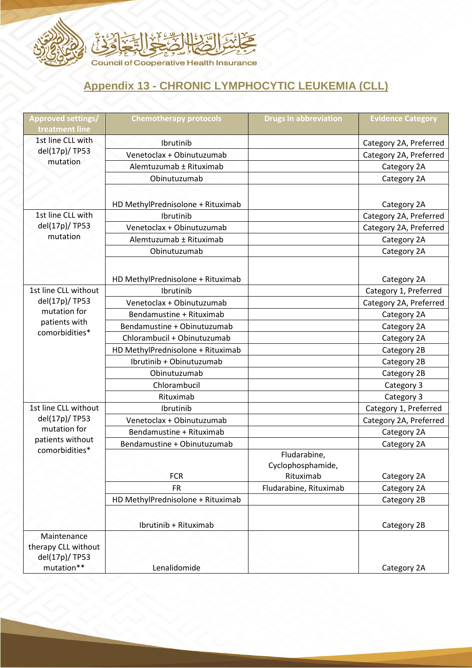

## **Appendix 13 - CHRONIC LYMPHOCYTIC LEUKEMIA (CLL)**

| Approved settings/<br>treatment line                                                      | <b>Chemotherapy protocols</b>     | <b>Drugs in abbreviation</b>                   | <b>Evidence Category</b> |
|-------------------------------------------------------------------------------------------|-----------------------------------|------------------------------------------------|--------------------------|
| 1st line CLL with<br>del(17p)/ TP53<br>mutation                                           | Ibrutinib                         |                                                | Category 2A, Preferred   |
|                                                                                           | Venetoclax + Obinutuzumab         |                                                | Category 2A, Preferred   |
|                                                                                           | Alemtuzumab ± Rituximab           |                                                | Category 2A              |
|                                                                                           | Obinutuzumab                      |                                                | Category 2A              |
|                                                                                           | HD MethylPrednisolone + Rituximab |                                                | Category 2A              |
| 1st line CLL with<br>del(17p)/ TP53<br>mutation                                           | Ibrutinib                         |                                                | Category 2A, Preferred   |
|                                                                                           | Venetoclax + Obinutuzumab         |                                                | Category 2A, Preferred   |
|                                                                                           | Alemtuzumab ± Rituximab           |                                                | Category 2A              |
|                                                                                           | Obinutuzumab                      |                                                | Category 2A              |
|                                                                                           | HD MethylPrednisolone + Rituximab |                                                | Category 2A              |
| 1st line CLL without<br>del(17p)/ TP53<br>mutation for<br>patients with<br>comorbidities* | Ibrutinib                         |                                                | Category 1, Preferred    |
|                                                                                           | Venetoclax + Obinutuzumab         |                                                | Category 2A, Preferred   |
|                                                                                           | Bendamustine + Rituximab          |                                                | Category 2A              |
|                                                                                           | Bendamustine + Obinutuzumab       |                                                | Category 2A              |
|                                                                                           | Chlorambucil + Obinutuzumab       |                                                | Category 2A              |
|                                                                                           | HD MethylPrednisolone + Rituximab |                                                | Category 2B              |
|                                                                                           | Ibrutinib + Obinutuzumab          |                                                | Category 2B              |
|                                                                                           | Obinutuzumab                      |                                                | Category 2B              |
|                                                                                           | Chlorambucil                      |                                                | Category 3               |
|                                                                                           | Rituximab                         |                                                | Category 3               |
| 1st line CLL without<br>del(17p)/ TP53                                                    | Ibrutinib                         |                                                | Category 1, Preferred    |
|                                                                                           | Venetoclax + Obinutuzumab         |                                                | Category 2A, Preferred   |
| mutation for                                                                              | Bendamustine + Rituximab          |                                                | Category 2A              |
| patients without<br>comorbidities*                                                        | Bendamustine + Obinutuzumab       |                                                | Category 2A              |
|                                                                                           | <b>FCR</b>                        | Fludarabine,<br>Cyclophosphamide,<br>Rituximab | Category 2A              |
|                                                                                           | <b>FR</b>                         | Fludarabine, Rituximab                         | Category 2A              |
|                                                                                           | HD MethylPrednisolone + Rituximab |                                                | Category 2B              |
|                                                                                           | Ibrutinib + Rituximab             |                                                | Category 2B              |
| Maintenance<br>therapy CLL without<br>del(17p)/ TP53<br>mutation**                        | Lenalidomide                      |                                                | Category 2A              |